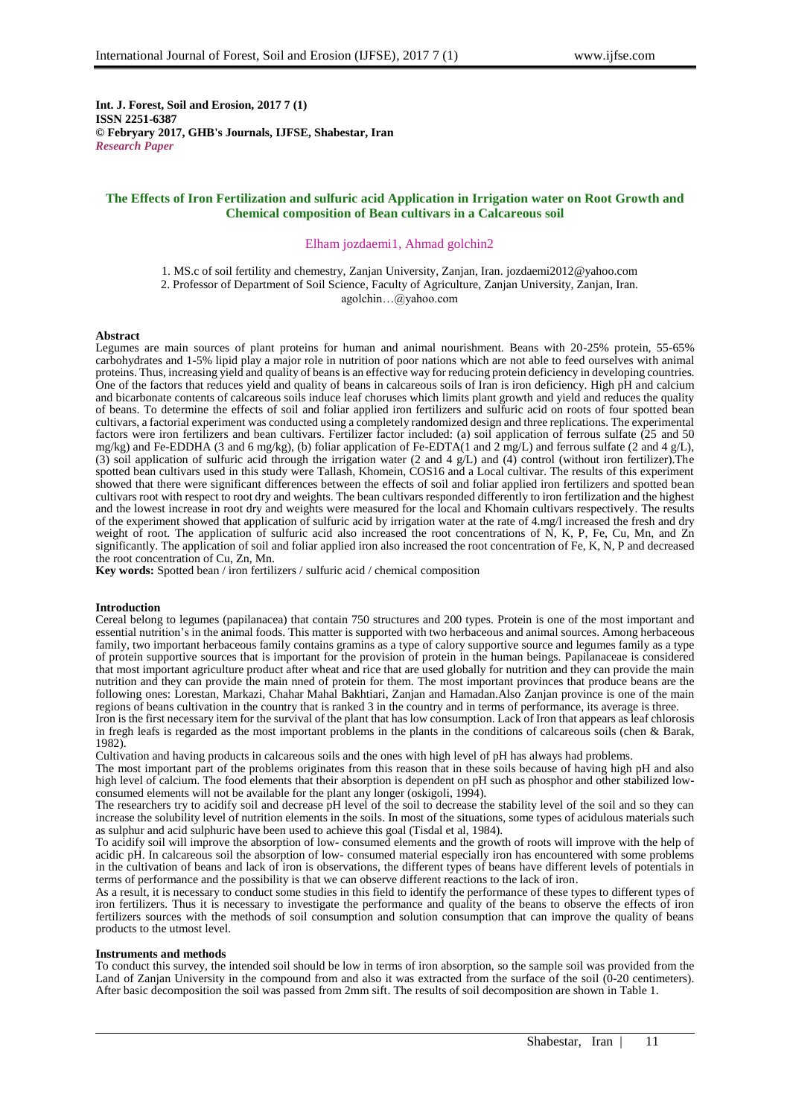**Int. J. Forest, Soil and Erosion, 2017 7 (1) ISSN 2251-6387 © Febryary 2017, GHB's Journals, IJFSE, Shabestar, Iran** *Research Paper*

# **The Effects of Iron Fertilization and sulfuric acid Application in Irrigation water on Root Growth and Chemical composition of Bean cultivars in a Calcareous soil**

### Elham jozdaemi1, Ahmad golchin2

1. MS.c of soil fertility and chemestry, Zanjan University, Zanjan, Iran. jozdaemi2012@yahoo.com 2. Professor of Department of Soil Science, Faculty of Agriculture, Zanjan University, Zanjan, Iran. agolchin…@yahoo.com

### **Abstract**

Legumes are main sources of plant proteins for human and animal nourishment. Beans with 20-25% protein, 55-65% carbohydrates and 1-5% lipid play a major role in nutrition of poor nations which are not able to feed ourselves with animal proteins. Thus, increasing yield and quality of beans is an effective way for reducing protein deficiency in developing countries. One of the factors that reduces yield and quality of beans in calcareous soils of Iran is iron deficiency. High pH and calcium and bicarbonate contents of calcareous soils induce leaf choruses which limits plant growth and yield and reduces the quality of beans. To determine the effects of soil and foliar applied iron fertilizers and sulfuric acid on roots of four spotted bean cultivars, a factorial experiment was conducted using a completely randomized design and three replications. The experimental factors were iron fertilizers and bean cultivars. Fertilizer factor included: (a) soil application of ferrous sulfate (25 and 50 mg/kg) and Fe-EDDHA (3 and 6 mg/kg), (b) foliar application of Fe-EDTA(1 and 2 mg/L) and ferrous sulfate (2 and 4 g/L), (3) soil application of sulfuric acid through the irrigation water (2 and 4 g/L) and (4) control (without iron fertilizer).The spotted bean cultivars used in this study were Tallash, Khomein, COS16 and a Local cultivar. The results of this experiment showed that there were significant differences between the effects of soil and foliar applied iron fertilizers and spotted bean cultivars root with respect to root dry and weights. The bean cultivars responded differently to iron fertilization and the highest and the lowest increase in root dry and weights were measured for the local and Khomain cultivars respectively. The results of the experiment showed that application of sulfuric acid by irrigation water at the rate of 4.mg/l increased the fresh and dry weight of root. The application of sulfuric acid also increased the root concentrations of N, K, P, Fe, Cu, Mn, and  $Zn$ significantly. The application of soil and foliar applied iron also increased the root concentration of Fe, K, N, P and decreased the root concentration of Cu, Zn, Mn.

**Key words:** Spotted bean / iron fertilizers / sulfuric acid / chemical composition

# **Introduction**

Cereal belong to legumes (papilanacea) that contain 750 structures and 200 types. Protein is one of the most important and essential nutrition's in the animal foods. This matter is supported with two herbaceous and animal sources. Among herbaceous family, two important herbaceous family contains gramins as a type of calory supportive source and legumes family as a type of protein supportive sources that is important for the provision of protein in the human beings. Papilanaceae is considered that most important agriculture product after wheat and rice that are used globally for nutrition and they can provide the main nutrition and they can provide the main nned of protein for them. The most important provinces that produce beans are the following ones: Lorestan, Markazi, Chahar Mahal Bakhtiari, Zanjan and Hamadan.Also Zanjan province is one of the main regions of beans cultivation in the country that is ranked 3 in the country and in terms of performance, its average is three.

Iron is the first necessary item for the survival of the plant that has low consumption. Lack of Iron that appears as leaf chlorosis in fregh leafs is regarded as the most important problems in the plants in the conditions of calcareous soils (chen & Barak, 1982).

Cultivation and having products in calcareous soils and the ones with high level of pH has always had problems.

The most important part of the problems originates from this reason that in these soils because of having high pH and also high level of calcium. The food elements that their absorption is dependent on pH such as phosphor and other stabilized lowconsumed elements will not be available for the plant any longer (oskigoli,  $1994$ ).

The researchers try to acidify soil and decrease pH level of the soil to decrease the stability level of the soil and so they can increase the solubility level of nutrition elements in the soils. In most of the situations, some types of acidulous materials such as sulphur and acid sulphuric have been used to achieve this goal (Tisdal et al, 1984).

To acidify soil will improve the absorption of low- consumed elements and the growth of roots will improve with the help of acidic pH. In calcareous soil the absorption of low- consumed material especially iron has encountered with some problems in the cultivation of beans and lack of iron is observations, the different types of beans have different levels of potentials in terms of performance and the possibility is that we can observe different reactions to the lack of iron.

As a result, it is necessary to conduct some studies in this field to identify the performance of these types to different types of iron fertilizers. Thus it is necessary to investigate the performance and quality of the beans to observe the effects of iron fertilizers sources with the methods of soil consumption and solution consumption that can improve the quality of beans products to the utmost level.

#### **Instruments and methods**

To conduct this survey, the intended soil should be low in terms of iron absorption, so the sample soil was provided from the Land of Zanjan University in the compound from and also it was extracted from the surface of the soil (0-20 centimeters). After basic decomposition the soil was passed from 2mm sift. The results of soil decomposition are shown in Table 1.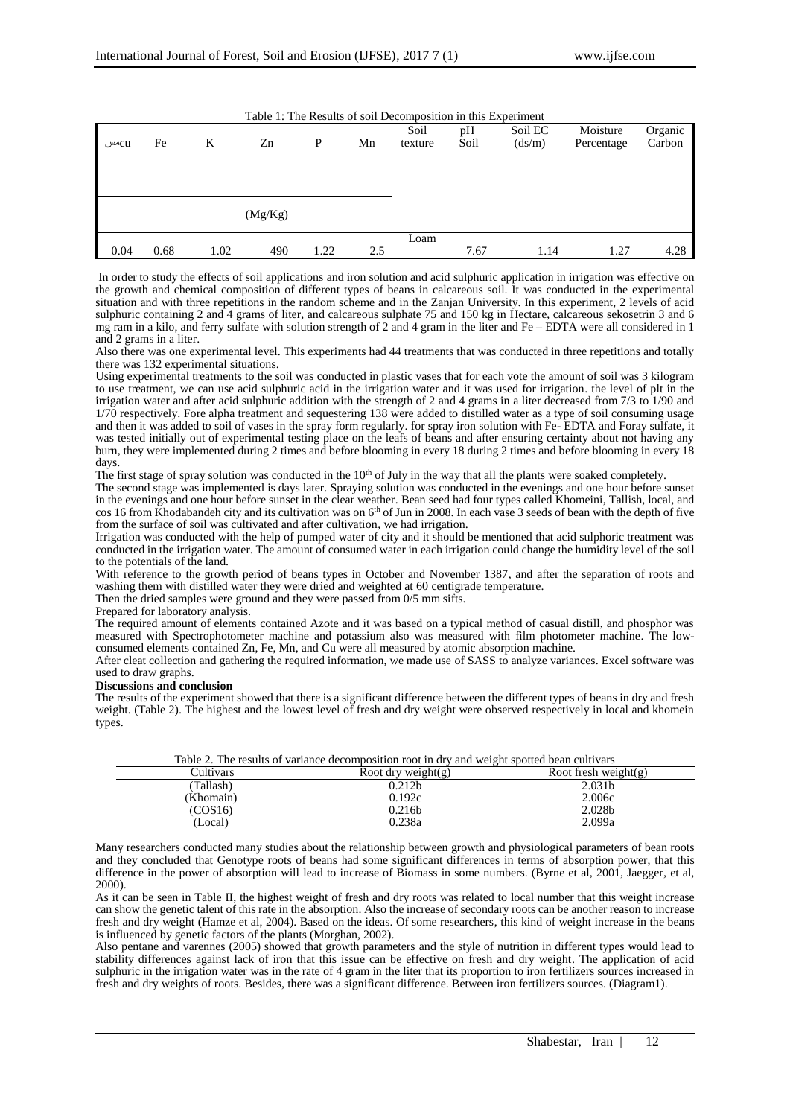| Table 1: The Results of soil Decomposition in this Experiment |      |      |         |      |     |                 |            |                   |                        |                   |  |
|---------------------------------------------------------------|------|------|---------|------|-----|-----------------|------------|-------------------|------------------------|-------------------|--|
| cuس                                                           | Fe   | K    | Zn      | P    | Mn  | Soil<br>texture | pН<br>Soil | Soil EC<br>(ds/m) | Moisture<br>Percentage | Organic<br>Carbon |  |
|                                                               |      |      | (Mg/Kg) |      |     |                 |            |                   |                        |                   |  |
| 0.04                                                          | 0.68 | 1.02 | 490     | 1.22 | 2.5 | Loam            | 7.67       | 1.14              | 1.27                   | 4.28              |  |

In order to study the effects of soil applications and iron solution and acid sulphuric application in irrigation was effective on the growth and chemical composition of different types of beans in calcareous soil. It was conducted in the experimental situation and with three repetitions in the random scheme and in the Zanjan University. In this experiment, 2 levels of acid sulphuric containing 2 and 4 grams of liter, and calcareous sulphate 75 and 150 kg in Hectare, calcareous sekosetrin 3 and 6 mg ram in a kilo, and ferry sulfate with solution strength of 2 and 4 gram in the liter and Fe – EDTA were all considered in 1 and 2 grams in a liter.

Also there was one experimental level. This experiments had 44 treatments that was conducted in three repetitions and totally there was 132 experimental situations.

Using experimental treatments to the soil was conducted in plastic vases that for each vote the amount of soil was 3 kilogram to use treatment, we can use acid sulphuric acid in the irrigation water and it was used for irrigation. the level of plt in the irrigation water and after acid sulphuric addition with the strength of 2 and 4 grams in a liter decreased from 7/3 to 1/90 and  $1/70$  respectively. Fore alpha treatment and sequestering 138 were added to distilled water as a type of soil consuming usage and then it was added to soil of vases in the spray form regularly. for spray iron solution with Fe- EDTA and Foray sulfate, it was tested initially out of experimental testing place on the leafs of beans and after ensuring certainty about not having any burn, they were implemented during 2 times and before blooming in every 18 during 2 times and before blooming in every 18 days.

The first stage of spray solution was conducted in the 10<sup>th</sup> of July in the way that all the plants were soaked completely.

The second stage was implemented is days later. Spraying solution was conducted in the evenings and one hour before sunset in the evenings and one hour before sunset in the clear weather. Bean seed had four types called Khomeini, Tallish, local, and cos 16 from Khodabandeh city and its cultivation was on 6<sup>th</sup> of Jun in 2008. In each vase 3 seeds of bean with the depth of five from the surface of soil was cultivated and after cultivation, we had irrigation.

Irrigation was conducted with the help of pumped water of city and it should be mentioned that acid sulphoric treatment was conducted in the irrigation water. The amount of consumed water in each irrigation could change the humidity level of the soil to the potentials of the land.

With reference to the growth period of beans types in October and November 1387, and after the separation of roots and washing them with distilled water they were dried and weighted at 60 centigrade temperature.

Then the dried samples were ground and they were passed from 0/5 mm sifts.

### Prepared for laboratory analysis.

The required amount of elements contained Azote and it was based on a typical method of casual distill, and phosphor was measured with Spectrophotometer machine and potassium also was measured with film photometer machine. The lowconsumed elements contained Zn, Fe, Mn, and Cu were all measured by atomic absorption machine.

After cleat collection and gathering the required information, we made use of SASS to analyze variances. Excel software was used to draw graphs.

## **Discussions and conclusion**

The results of the experiment showed that there is a significant difference between the different types of beans in dry and fresh weight. (Table 2). The highest and the lowest level of fresh and dry weight were observed respectively in local and khomein types.

|           | Table 2. The results of variance decomposition root in dry and weight spotted bean cultivars |                      |  |  |  |  |  |
|-----------|----------------------------------------------------------------------------------------------|----------------------|--|--|--|--|--|
| Cultivars | Root dry weight(g)                                                                           | Root fresh weight(g) |  |  |  |  |  |
| (Tallash) | 0.212 <sub>b</sub>                                                                           | 2.031 <sub>b</sub>   |  |  |  |  |  |
| (Khomain) | 0.192c                                                                                       | 2.006c               |  |  |  |  |  |
| (COS16)   | 0.216 <sub>b</sub>                                                                           | 2.028b               |  |  |  |  |  |
| (Local)   | 0.238a                                                                                       | 2.099a               |  |  |  |  |  |

Many researchers conducted many studies about the relationship between growth and physiological parameters of bean roots and they concluded that Genotype roots of beans had some significant differences in terms of absorption power, that this difference in the power of absorption will lead to increase of Biomass in some numbers. (Byrne et al, 2001, Jaegger, et al, 2000).

As it can be seen in Table II, the highest weight of fresh and dry roots was related to local number that this weight increase can show the genetic talent of this rate in the absorption. Also the increase of secondary roots can be another reason to increase fresh and dry weight (Hamze et al, 2004). Based on the ideas. Of some researchers, this kind of weight increase in the beans is influenced by genetic factors of the plants (Morghan, 2002).

Also pentane and varennes (2005) showed that growth parameters and the style of nutrition in different types would lead to stability differences against lack of iron that this issue can be effective on fresh and dry weight. The application of acid sulphuric in the irrigation water was in the rate of 4 gram in the liter that its proportion to iron fertilizers sources increased in fresh and dry weights of roots. Besides, there was a significant difference. Between iron fertilizers sources. (Diagram1).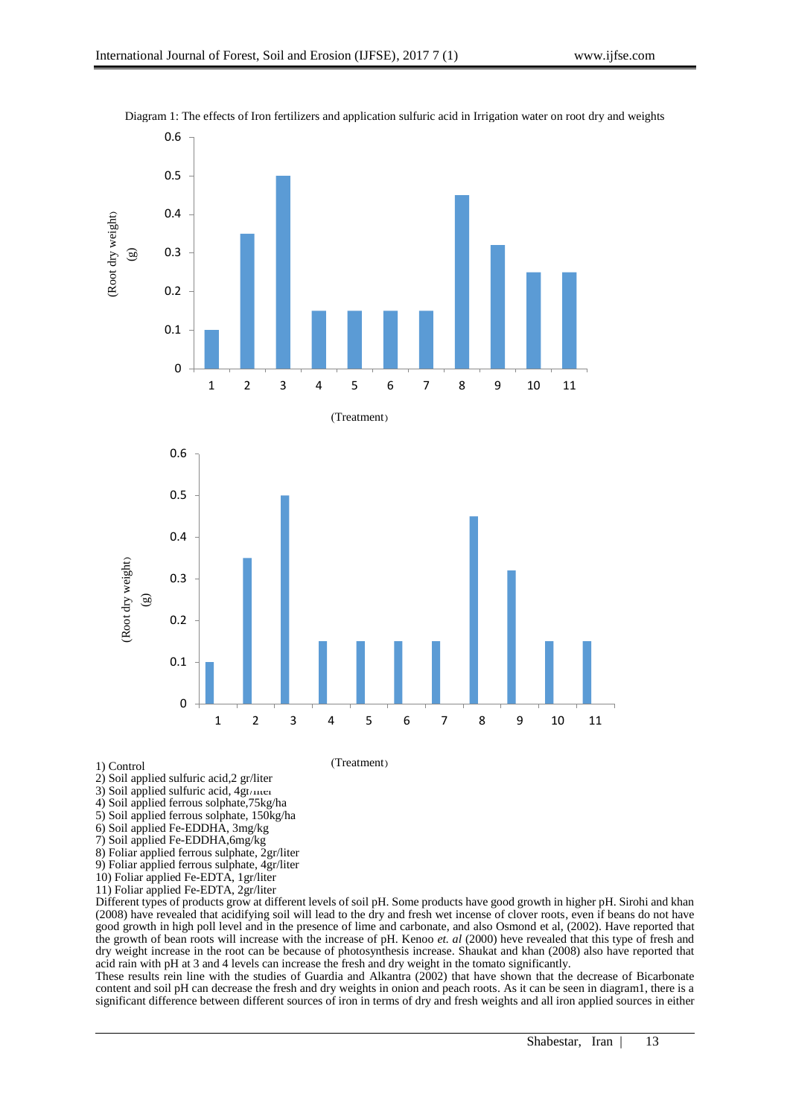

Diagram 1: The effects of Iron fertilizers and application sulfuric acid in Irrigation water on root dry and weights

1) Control

- 2) Soil applied sulfuric acid,2 gr/liter
- 3) Soil applied sulfuric acid,  $4gt/$ mer
- 4) Soil applied ferrous solphate,75kg/ha
- 5) Soil applied ferrous solphate, 150kg/ha
- 6) Soil applied Fe-EDDHA, 3mg/kg
- 7) Soil applied Fe-EDDHA,6mg/kg
- 8) Foliar applied ferrous sulphate, 2gr/liter
- 9) Foliar applied ferrous sulphate, 4gr/liter
- 10) Foliar applied Fe-EDTA, 1gr/liter
- 11) Foliar applied Fe-EDTA, 2gr/liter

Different types of products grow at different levels of soil pH. Some products have good growth in higher pH. Sirohi and khan (2008) have revealed that acidifying soil will lead to the dry and fresh wet incense of clover roots, even if beans do not have good growth in high poll level and in the presence of lime and carbonate, and also Osmond et al, (2002). Have reported that the growth of bean roots will increase with the increase of pH. Kenoo *et. al* (2000) heve revealed that this type of fresh and dry weight increase in the root can be because of photosynthesis increase. Shaukat and khan (2008) also have reported that acid rain with pH at 3 and 4 levels can increase the fresh and dry weight in the tomato significantly.

These results rein line with the studies of Guardia and Alkantra (2002) that have shown that the decrease of Bicarbonate content and soil pH can decrease the fresh and dry weights in onion and peach roots. As it can be seen in diagram1, there is a significant difference between different sources of iron in terms of dry and fresh weights and all iron applied sources in either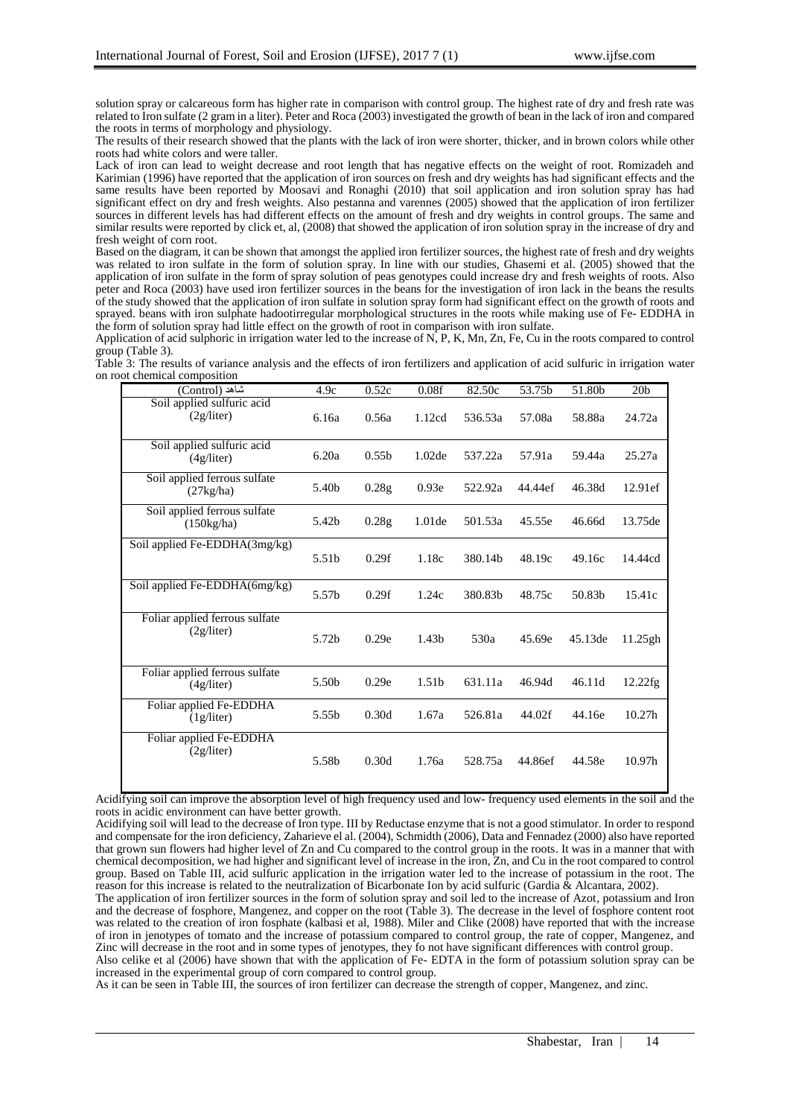solution spray or calcareous form has higher rate in comparison with control group. The highest rate of dry and fresh rate was related to Iron sulfate (2 gram in a liter). Peter and Roca (2003) investigated the growth of bean in the lack of iron and compared the roots in terms of morphology and physiology.

The results of their research showed that the plants with the lack of iron were shorter, thicker, and in brown colors while other roots had white colors and were taller.

Lack of iron can lead to weight decrease and root length that has negative effects on the weight of root. Romizadeh and Karimian (1996) have reported that the application of iron sources on fresh and dry weights has had significant effects and the same results have been reported by Moosavi and Ronaghi (2010) that soil application and iron solution spray has had significant effect on dry and fresh weights. Also pestanna and varennes (2005) showed that the application of iron fertilizer sources in different levels has had different effects on the amount of fresh and dry weights in control groups. The same and similar results were reported by click et, al, (2008) that showed the application of iron solution spray in the increase of dry and fresh weight of corn root.

Based on the diagram, it can be shown that amongst the applied iron fertilizer sources, the highest rate of fresh and dry weights was related to iron sulfate in the form of solution spray. In line with our studies, Ghasemi et al. (2005) showed that the application of iron sulfate in the form of spray solution of peas genotypes could increase dry and fresh weights of roots. Also peter and Roca (2003) have used iron fertilizer sources in the beans for the investigation of iron lack in the beans the results of the study showed that the application of iron sulfate in solution spray form had significant effect on the growth of roots and sprayed. beans with iron sulphate hadootirregular morphological structures in the roots while making use of Fe- EDDHA in the form of solution spray had little effect on the growth of root in comparison with iron sulfate.

Application of acid sulphoric in irrigation water led to the increase of N, P, K, Mn, Zn, Fe, Cu in the roots compared to control group (Table 3).

Table 3: The results of variance analysis and the effects of iron fertilizers and application of acid sulfuric in irrigation water on root chemical composition

| شاهد (Control)                                      | 4.9c  | 0.52c             | 0.08f             | 82.50c  | 53.75b  | 51.80b  | 20 <sub>b</sub>    |
|-----------------------------------------------------|-------|-------------------|-------------------|---------|---------|---------|--------------------|
| Soil applied sulfuric acid<br>(2g/liter)            | 6.16a | 0.56a             | 1.12cd            | 536.53a | 57.08a  | 58.88a  | 24.72a             |
| Soil applied sulfuric acid<br>(4g/liter)            | 6.20a | 0.55 <sub>b</sub> | 1.02de            | 537.22a | 57.91a  | 59.44a  | 25.27a             |
| Soil applied ferrous sulfate<br>(27kg/ha)           | 5.40b | 0.28g             | 0.93e             | 522.92a | 44.44ef | 46.38d  | 12.91ef            |
| Soil applied ferrous sulfate<br>$(150\text{kg/ha})$ | 5.42b | 0.28g             | 1.01de            | 501.53a | 45.55e  | 46.66d  | 13.75de            |
| Soil applied Fe-EDDHA(3mg/kg)                       | 5.51b | 0.29f             | 1.18c             | 380.14b | 48.19c  | 49.16c  | 14.44cd            |
| Soil applied Fe-EDDHA(6mg/kg)                       | 5.57b | 0.29f             | 1.24c             | 380.83b | 48.75c  | 50.83b  | 15.41c             |
| Foliar applied ferrous sulfate<br>(2g/liter)        | 5.72b | 0.29e             | 1.43 <sub>b</sub> | 530a    | 45.69e  | 45.13de | 11.25gh            |
| Foliar applied ferrous sulfate<br>(4g/liter)        | 5.50b | 0.29e             | 1.51b             | 631.11a | 46.94d  | 46.11d  | 12.22fg            |
| Foliar applied Fe-EDDHA<br>(1g/liter)               | 5.55b | 0.30d             | 1.67a             | 526.81a | 44.02f  | 44.16e  | 10.27h             |
| Foliar applied Fe-EDDHA<br>(2g/liter)               | 5.58b | 0.30d             | 1.76a             | 528.75a | 44.86ef | 44.58e  | 10.97 <sub>h</sub> |

Acidifying soil can improve the absorption level of high frequency used and low- frequency used elements in the soil and the roots in acidic environment can have better growth.

Acidifying soil will lead to the decrease of Iron type. III by Reductase enzyme that is not a good stimulator. In order to respond and compensate for the iron deficiency, Zaharieve el al. (2004), Schmidth (2006), Data and Fennadez (2000) also have reported that grown sun flowers had higher level of Zn and Cu compared to the control group in the roots. It was in a manner that with chemical decomposition, we had higher and significant level of increase in the iron, Zn, and Cu in the root compared to control group. Based on Table III, acid sulfuric application in the irrigation water led to the increase of potassium in the root. The reason for this increase is related to the neutralization of Bicarbonate Ion by acid sulfuric (Gardia & Alcantara, 2002).

The application of iron fertilizer sources in the form of solution spray and soil led to the increase of Azot, potassium and Iron and the decrease of fosphore, Mangenez, and copper on the root (Table 3). The decrease in the level of fosphore content root was related to the creation of iron fosphate (kalbasi et al, 1988). Miler and Clike (2008) have reported that with the increase of iron in jenotypes of tomato and the increase of potassium compared to control group, the rate of copper, Mangenez, and Zinc will decrease in the root and in some types of jenotypes, they fo not have significant differences with control group.

Also celike et al (2006) have shown that with the application of Fe- EDTA in the form of potassium solution spray can be increased in the experimental group of corn compared to control group.

As it can be seen in Table III, the sources of iron fertilizer can decrease the strength of copper, Mangenez, and zinc.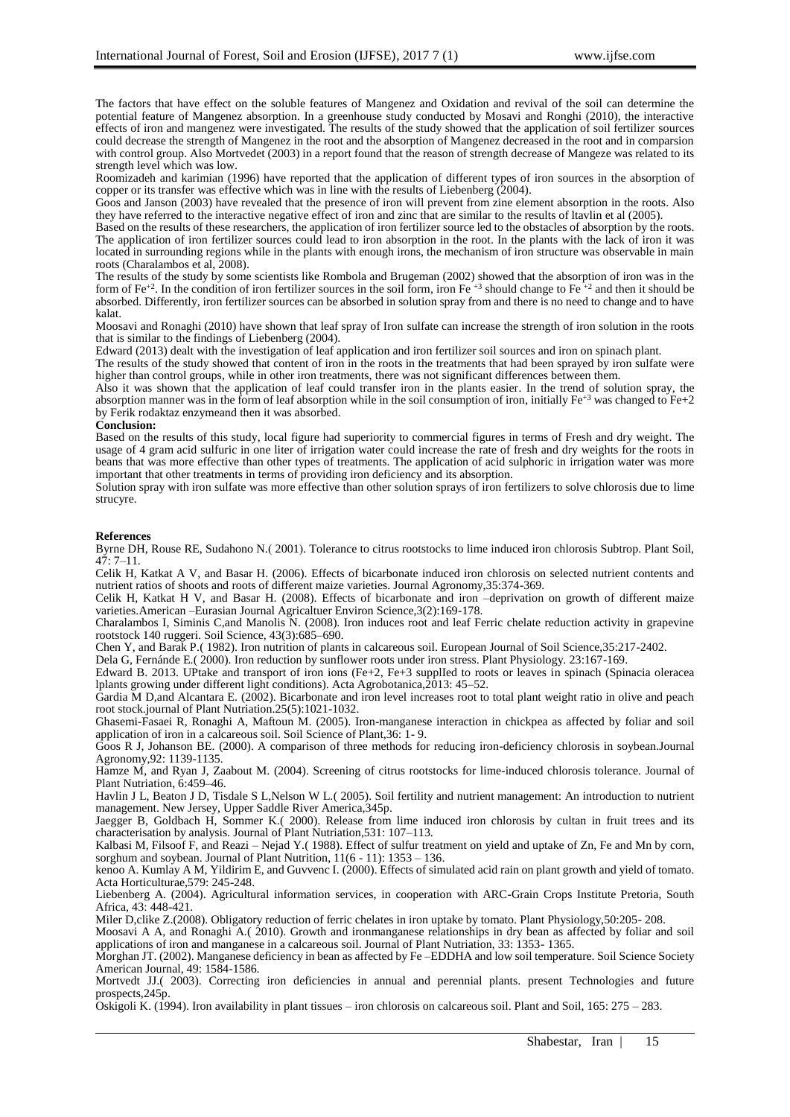The factors that have effect on the soluble features of Mangenez and Oxidation and revival of the soil can determine the potential feature of Mangenez absorption. In a greenhouse study conducted by Mosavi and Ronghi (2010), the interactive effects of iron and mangenez were investigated. The results of the study showed that the application of soil fertilizer sources could decrease the strength of Mangenez in the root and the absorption of Mangenez decreased in the root and in comparsion with control group. Also Mortvedet (2003) in a report found that the reason of strength decrease of Mangeze was related to its strength level which was low.

Roomizadeh and karimian (1996) have reported that the application of different types of iron sources in the absorption of copper or its transfer was effective which was in line with the results of Liebenberg (2004).

Goos and Janson (2003) have revealed that the presence of iron will prevent from zine element absorption in the roots. Also they have referred to the interactive negative effect of iron and zinc that are similar to the results of ltavlin et al (2005).

Based on the results of these researchers, the application of iron fertilizer source led to the obstacles of absorption by the roots. The application of iron fertilizer sources could lead to iron absorption in the root. In the plants with the lack of iron it was located in surrounding regions while in the plants with enough irons, the mechanism of iron structure was observable in main roots (Charalambos et al, 2008).

The results of the study by some scientists like Rombola and Brugeman (2002) showed that the absorption of iron was in the form of  $Fe^{+2}$ . In the condition of iron fertilizer sources in the soil form, iron Fe<sup> $+3$ </sup> should change to Fe<sup> $+2$ </sup> and then it should be absorbed. Differently, iron fertilizer sources can be absorbed in solution spray from and there is no need to change and to have kalat.

Moosavi and Ronaghi (2010) have shown that leaf spray of Iron sulfate can increase the strength of iron solution in the roots that is similar to the findings of Liebenberg (2004).

Edward (2013) dealt with the investigation of leaf application and iron fertilizer soil sources and iron on spinach plant.

The results of the study showed that content of iron in the roots in the treatments that had been sprayed by iron sulfate were higher than control groups, while in other iron treatments, there was not significant differences between them.

Also it was shown that the application of leaf could transfer iron in the plants easier. In the trend of solution spray, the absorption manner was in the form of leaf absorption while in the soil consumption of iron, initially  $Fe^{+3}$  was changed to  $Fe+2$ by Ferik rodaktaz enzymeand then it was absorbed.

# **Conclusion:**

Based on the results of this study, local figure had superiority to commercial figures in terms of Fresh and dry weight. The usage of 4 gram acid sulfuric in one liter of irrigation water could increase the rate of fresh and dry weights for the roots in beans that was more effective than other types of treatments. The application of acid sulphoric in irrigation water was more important that other treatments in terms of providing iron deficiency and its absorption.

Solution spray with iron sulfate was more effective than other solution sprays of iron fertilizers to solve chlorosis due to lime strucyre.

#### **References**

Byrne DH, Rouse RE, Sudahono N.(2001). Tolerance to citrus rootstocks to lime induced iron chlorosis Subtrop. Plant Soil,  $47:7 - 11.$ 

Celik H, Katkat A V, and Basar H. (2006). Effects of bicarbonate induced iron chlorosis on selected nutrient contents and nutrient ratios of shoots and roots of different maize varieties. Journal Agronomy,35:374-369.

Celik H, Katkat H V, and Basar H. (2008). Effects of bicarbonate and iron –deprivation on growth of different maize varieties.American –Eurasian Journal Agricaltuer Environ Science,3(2):169-178.

Charalambos I, Siminis C,and Manolis N. (2008). Iron induces root and leaf Ferric chelate reduction activity in grapevine rootstock 140 ruggeri. Soil Science, 43(3):685–690.

Chen Y, and Barak P.( 1982). Iron nutrition of plants in calcareous soil. European Journal of Soil Science,35:217-2402.

Dela G, Fernánde E.( 2000). Iron reduction by sunflower roots under iron stress. Plant Physiology. 23:167-169.

Edward B. 2013. UPtake and transport of iron ions (Fe+2, Fe+3 supplIed to roots or leaves in spinach (Spinacia oleracea lplants growing under different light conditions). Acta Agrobotanica,2013: 45–52.

Gardia M D,and Alcantara E. (2002). Bicarbonate and iron level increases root to total plant weight ratio in olive and peach root stock.journal of Plant Nutriation.25(5):1021-1032.

Ghasemi-Fasaei R, Ronaghi A, Maftoun M. (2005). Iron-manganese interaction in chickpea as affected by foliar and soil application of iron in a calcareous soil. Soil Science of Plant,36: 1- 9.

Goos R J, Johanson BE. (2000). A comparison of three methods for reducing iron-deficiency chlorosis in soybean.Journal Agronomy,92: 1139-1135.

Hamze M, and Ryan J, Zaabout M. (2004). Screening of citrus rootstocks for lime-induced chlorosis tolerance. Journal of Plant Nutriation, 6:459–46.

Havlin J L, Beaton J D, Tisdale S L,Nelson W L.( 2005). Soil fertility and nutrient management: An introduction to nutrient management. New Jersey, Upper Saddle River America,345p.

Jaegger B, Goldbach H, Sommer K.( 2000). Release from lime induced iron chlorosis by cultan in fruit trees and its characterisation by analysis. Journal of Plant Nutriation,531: 107–113.

Kalbasi M, Filsoof F, and Reazi – Nejad Y.( 1988). Effect of sulfur treatment on yield and uptake of Zn, Fe and Mn by corn, sorghum and soybean. Journal of Plant Nutrition, 11(6 - 11): 1353 – 136.

kenoo A. Kumlay A M, Yildirim E, and Guvvenc I. (2000). Effects of simulated acid rain on plant growth and yield of tomato. Acta Horticulturae,579: 245-248.

Liebenberg A. (2004). Agricultural information services, in cooperation with ARC-Grain Crops Institute Pretoria, South Africa, 43: 448-421.

Miler D,clike Z.(2008). Obligatory reduction of ferric chelates in iron uptake by tomato. Plant Physiology,50:205- 208.

Moosavi A A, and Ronaghi A.( 2010). Growth and ironmanganese relationships in dry bean as affected by foliar and soil applications of iron and manganese in a calcareous soil. Journal of Plant Nutriation, 33: 1353- 1365.

Morghan JT. (2002). Manganese deficiency in bean as affected by Fe –EDDHA and low soil temperature. Soil Science Society American Journal, 49: 1584-1586.

Mortvedt JJ.( 2003). Correcting iron deficiencies in annual and perennial plants. present Technologies and future prospects,245p.

Oskigoli K. (1994). Iron availability in plant tissues – iron chlorosis on calcareous soil. Plant and Soil, 165: 275 – 283.